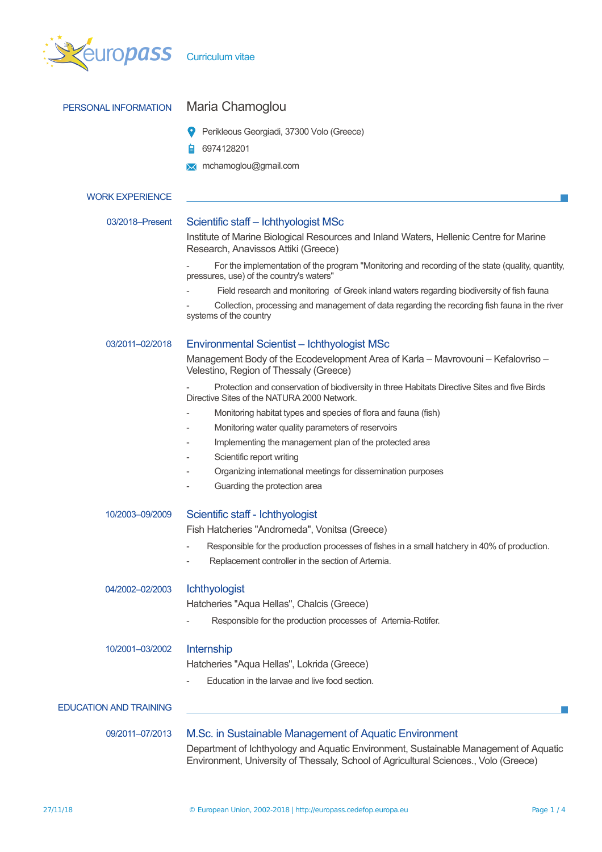

| PERSONAL INFORMATION          | Maria Chamoglou                                                                                                                                                                                                                        |  |  |  |  |
|-------------------------------|----------------------------------------------------------------------------------------------------------------------------------------------------------------------------------------------------------------------------------------|--|--|--|--|
|                               | Perikleous Georgiadi, 37300 Volo (Greece)                                                                                                                                                                                              |  |  |  |  |
|                               | 6974128201                                                                                                                                                                                                                             |  |  |  |  |
|                               | <b>X</b> mchamoglou@gmail.com                                                                                                                                                                                                          |  |  |  |  |
| <b>WORK EXPERIENCE</b>        |                                                                                                                                                                                                                                        |  |  |  |  |
| 03/2018-Present               | Scientific staff - Ichthyologist MSc                                                                                                                                                                                                   |  |  |  |  |
|                               | Institute of Marine Biological Resources and Inland Waters, Hellenic Centre for Marine<br>Research, Anavissos Attiki (Greece)                                                                                                          |  |  |  |  |
|                               | For the implementation of the program "Monitoring and recording of the state (quality, quantity,<br>pressures, use) of the country's waters"                                                                                           |  |  |  |  |
|                               | Field research and monitoring of Greek inland waters regarding biodiversity of fish fauna                                                                                                                                              |  |  |  |  |
|                               | Collection, processing and management of data regarding the recording fish fauna in the river<br>systems of the country                                                                                                                |  |  |  |  |
| 03/2011-02/2018               | Environmental Scientist - Ichthyologist MSc                                                                                                                                                                                            |  |  |  |  |
|                               | Management Body of the Ecodevelopment Area of Karla - Mavrovouni - Kefalovriso -<br>Velestino, Region of Thessaly (Greece)                                                                                                             |  |  |  |  |
|                               | Protection and conservation of biodiversity in three Habitats Directive Sites and five Birds<br>Directive Sites of the NATURA 2000 Network.                                                                                            |  |  |  |  |
|                               | Monitoring habitat types and species of flora and fauna (fish)                                                                                                                                                                         |  |  |  |  |
|                               | Monitoring water quality parameters of reservoirs                                                                                                                                                                                      |  |  |  |  |
|                               | Implementing the management plan of the protected area                                                                                                                                                                                 |  |  |  |  |
|                               | Scientific report writing                                                                                                                                                                                                              |  |  |  |  |
|                               | Organizing international meetings for dissemination purposes                                                                                                                                                                           |  |  |  |  |
|                               | Guarding the protection area                                                                                                                                                                                                           |  |  |  |  |
| 10/2003-09/2009               | Scientific staff - Ichthyologist                                                                                                                                                                                                       |  |  |  |  |
|                               | Fish Hatcheries "Andromeda", Vonitsa (Greece)                                                                                                                                                                                          |  |  |  |  |
|                               | Responsible for the production processes of fishes in a small hatchery in 40% of production.<br>Replacement controller in the section of Artemia.                                                                                      |  |  |  |  |
| 04/2002-02/2003               | <b>Ichthyologist</b>                                                                                                                                                                                                                   |  |  |  |  |
|                               | Hatcheries "Aqua Hellas", Chalcis (Greece)                                                                                                                                                                                             |  |  |  |  |
|                               | Responsible for the production processes of Artemia-Rotifer.                                                                                                                                                                           |  |  |  |  |
| 10/2001-03/2002               | Internship                                                                                                                                                                                                                             |  |  |  |  |
|                               | Hatcheries "Aqua Hellas", Lokrida (Greece)                                                                                                                                                                                             |  |  |  |  |
|                               | Education in the larvae and live food section.                                                                                                                                                                                         |  |  |  |  |
| <b>EDUCATION AND TRAINING</b> |                                                                                                                                                                                                                                        |  |  |  |  |
| 09/2011-07/2013               | M.Sc. in Sustainable Management of Aquatic Environment<br>Department of Ichthyology and Aquatic Environment, Sustainable Management of Aquatic<br>Environment, University of Thessaly, School of Agricultural Sciences., Volo (Greece) |  |  |  |  |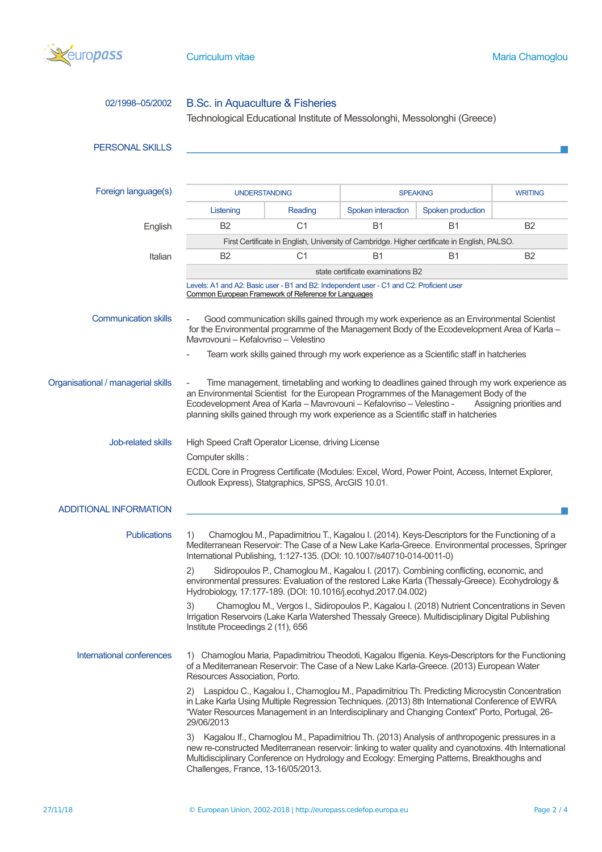

| 02/1998-05/2002                    | B.Sc. in Aquaculture & Fisheries<br>Technological Educational Institute of Messolonghi, Messolonghi (Greece)                                                                                                                                                                                                                                                                     |                |                    |                   |                |  |  |
|------------------------------------|----------------------------------------------------------------------------------------------------------------------------------------------------------------------------------------------------------------------------------------------------------------------------------------------------------------------------------------------------------------------------------|----------------|--------------------|-------------------|----------------|--|--|
| <b>PERSONAL SKILLS</b>             |                                                                                                                                                                                                                                                                                                                                                                                  |                |                    |                   |                |  |  |
| Foreign language(s)                | <b>UNDERSTANDING</b>                                                                                                                                                                                                                                                                                                                                                             |                | <b>SPEAKING</b>    |                   | <b>WRITING</b> |  |  |
|                                    | Listening                                                                                                                                                                                                                                                                                                                                                                        | Reading        | Spoken interaction | Spoken production |                |  |  |
| English                            | <b>B2</b>                                                                                                                                                                                                                                                                                                                                                                        | C <sub>1</sub> | Β1                 | <b>B1</b>         | <b>B2</b>      |  |  |
|                                    | First Certificate in English, University of Cambridge. Higher certificate in English, PALSO.                                                                                                                                                                                                                                                                                     |                |                    |                   |                |  |  |
| Italian                            | B2                                                                                                                                                                                                                                                                                                                                                                               | C1             | <b>B1</b>          | <b>B1</b>         | <b>B2</b>      |  |  |
|                                    | state certificate examinations B2                                                                                                                                                                                                                                                                                                                                                |                |                    |                   |                |  |  |
|                                    | Levels: A1 and A2: Basic user - B1 and B2: Independent user - C1 and C2: Proficient user<br>Common European Framework of Reference for Languages                                                                                                                                                                                                                                 |                |                    |                   |                |  |  |
| <b>Communication skills</b>        | Good communication skills gained through my work experience as an Environmental Scientist<br>for the Environmental programme of the Management Body of the Ecodevelopment Area of Karla -<br>Mavrovouni – Kefalovriso – Velestino                                                                                                                                                |                |                    |                   |                |  |  |
|                                    | Team work skills gained through my work experience as a Scientific staff in hatcheries                                                                                                                                                                                                                                                                                           |                |                    |                   |                |  |  |
| Organisational / managerial skills | Time management, timetabling and working to deadlines gained through my work experience as<br>an Environmental Scientist for the European Programmes of the Management Body of the<br>Ecodevelopment Area of Karla - Mavrovouni - Kefalovriso - Velestino -<br>Assigning priorities and<br>planning skills gained through my work experience as a Scientific staff in hatcheries |                |                    |                   |                |  |  |
| Job-related skills                 | High Speed Craft Operator License, driving License                                                                                                                                                                                                                                                                                                                               |                |                    |                   |                |  |  |
|                                    | Computer skills:                                                                                                                                                                                                                                                                                                                                                                 |                |                    |                   |                |  |  |
|                                    | ECDL Core in Progress Certificate (Modules: Excel, Word, Power Point, Access, Internet Explorer,<br>Outlook Express), Statgraphics, SPSS, ArcGIS 10.01.                                                                                                                                                                                                                          |                |                    |                   |                |  |  |
| <b>ADDITIONAL INFORMATION</b>      |                                                                                                                                                                                                                                                                                                                                                                                  |                |                    |                   |                |  |  |
| <b>Publications</b>                | 1)<br>Chamoglou M., Papadimitriou T., Kagalou I. (2014). Keys-Descriptors for the Functioning of a<br>Mediterranean Reservoir: The Case of a New Lake Karla-Greece. Environmental processes, Springer<br>International Publishing, 1:127-135. (DOI: 10.1007/s40710-014-0011-0)                                                                                                   |                |                    |                   |                |  |  |
|                                    | 2)<br>Sidiropoulos P., Chamoglou M., Kagalou I. (2017). Combining conflicting, economic, and<br>environmental pressures: Evaluation of the restored Lake Karla (Thessaly-Greece). Ecohydrology &<br>Hydrobiology, 17:177-189. (DOI: 10.1016/j.ecohyd.2017.04.002)                                                                                                                |                |                    |                   |                |  |  |
|                                    | Chamoglou M., Vergos I., Sidiropoulos P., Kagalou I. (2018) Nutrient Concentrations in Seven<br>3)<br>Irrigation Reservoirs (Lake Karla Watershed Thessaly Greece). Multidisciplinary Digital Publishing<br>Institute Proceedings 2 (11), 656                                                                                                                                    |                |                    |                   |                |  |  |
| International conferences          | 1) Chamoglou Maria, Papadimitriou Theodoti, Kagalou Ifigenia. Keys-Descriptors for the Functioning<br>of a Mediterranean Reservoir: The Case of a New Lake Karla-Greece. (2013) European Water<br>Resources Association, Porto.                                                                                                                                                  |                |                    |                   |                |  |  |
|                                    | 2) Laspidou C., Kagalou I., Chamoglou M., Papadimitriou Th. Predicting Microcystin Concentration<br>in Lake Karla Using Multiple Regression Techniques. (2013) 8th International Conference of EWRA<br>"Water Resources Management in an Interdisciplinary and Changing Context" Porto, Portugal, 26-<br>29/06/2013                                                              |                |                    |                   |                |  |  |
|                                    | 3) Kagalou If., Chamoglou M., Papadimitriou Th. (2013) Analysis of anthropogenic pressures in a<br>new re-constructed Mediterranean reservoir: linking to water quality and cyanotoxins. 4th International<br>Multidisciplinary Conference on Hydrology and Ecology: Emerging Patterns, Breakthoughs and<br>Challenges, France, 13-16/05/2013.                                   |                |                    |                   |                |  |  |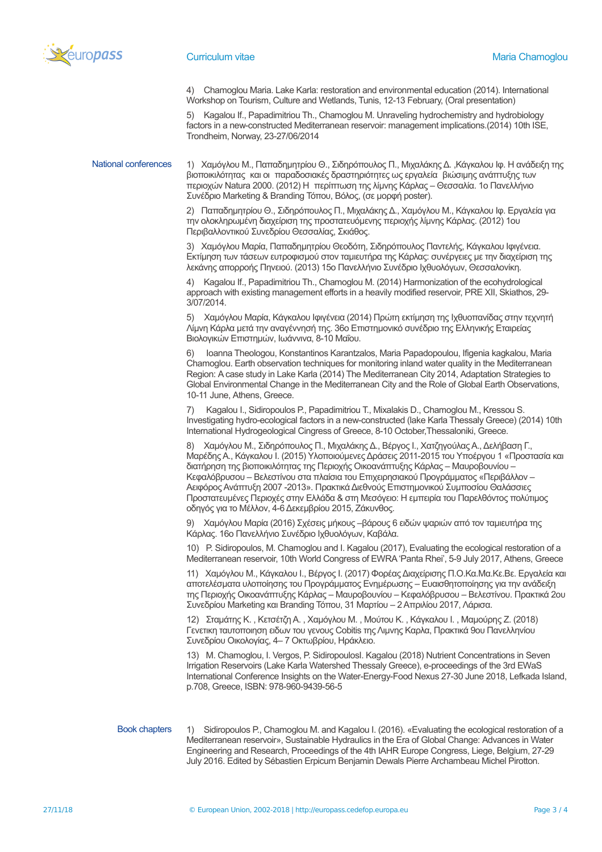

4) Chamoglou Maria. Lake Karla: restoration and environmental education (2014). International Workshop on Tourism, Culture and Wetlands, Tunis, 12-13 February, (Oral presentation)

5) Kagalou If., Papadimitriou Th., Chamoglou M. Unraveling hydrochemistry and hydrobiology factors in a new-constructed Mediterranean reservoir: management implications.(2014) 10th ISE, Trondheim, Norway, 23-27/06/2014

National conferences 1) Χαμόγλου Μ., Παπαδημητρίου Θ., Σιδηρόπουλος Π., Μιχαλάκης Δ. ,Κάγκαλου Ιφ. Η ανάδειξη της βιοποικιλότητας και οι παραδοσιακές δραστηριότητες ως εργαλεία βιώσιμης ανάπτυξης των περιοχών Natura 2000. (2012) Η περίπτωση της λίμνης Κάρλας – Θεσσαλία. 1ο Πανελλήνιο Συνέδριο Marketing & Branding Τόπου, Βόλος, (σε μορφή poster).

> 2) Παπαδημητρίου Θ., Σιδηρόπουλος Π., Μιχαλάκης Δ., Χαμόγλου Μ., Κάγκαλου Ιφ. Εργαλεία για την ολοκληρωμένη διαχείριση της προστατευόμενης περιοχής λίμνης Κάρλας. (2012) 1ου Περιβαλλοντικού Συνεδρίου Θεσσαλίας, Σκιάθος.

3) Χαμόγλου Μαρία, Παπαδημητρίου Θεοδότη, Σιδηρόπουλος Παντελής, Κάγκαλου Ιφιγένεια. Εκτίμηση των τάσεων ευτροφισμού στον ταμιευτήρα της Κάρλας: συνέργειες με την διαχείριση της λεκάνης απορροής Πηνειού. (2013) 15ο Πανελλήνιο Συνέδριο Ιχθυολόγων, Θεσσαλονίκη.

4) Kagalou If., Papadimitriou Th., Chamoglou M. (2014) Harmonization of the ecohydrological approach with existing management efforts in a heavily modified reservoir, PRE XII, Skiathos, 29- 3/07/2014.

5) Χαμόγλου Μαρία, Κάγκαλου Ιφιγένεια (2014) Πρώτη εκτίμηση της Ιχθυοπανίδας στην τεχνητή Λίμνη Κάρλα μετά την αναγέννησή της. 36ο Επιστημονικό συνέδριο της Ελληνικής Εταιρείας Βιολογικών Επιστημών, Ιωάννινα, 8-10 Μαΐου.

6) Ioanna Theologou, Konstantinos Karantzalos, Maria Papadopoulou, Ifigenia kagkalou, Maria Chamoglou. Earth observation techniques for monitoring inland water quality in the Mediterranean Region: A case study in Lake Karla (2014) The Mediterranean City 2014, Adaptation Strategies to Global Environmental Change in the Mediterranean City and the Role of Global Earth Observations, 10-11 June, Athens, Greece.

7) Kagalou I., Sidiropoulos P., Papadimitriou T., Mixalakis D., Chamoglou M., Kressou S. Investigating hydro-ecological factors in a new-constructed (lake Karla Thessaly Greece) (2014) 10th International Hydrogeological Cingress of Greece, 8-10 October,Thessaloniki, Greece.

8) Χαμόγλου Μ., Σιδηρόπουλος Π., Μιχαλάκης Δ., Βέργος Ι., Χατζηγούλας Α., Δελήβαση Γ., Μαρέδης Α., Κάγκαλου Ι. (2015) Υλοποιούμενες Δράσεις 2011-2015 του Υποέργου 1 «Προστασία και διατήρηση της βιοποικιλότητας της Περιοχής Οικοανάπτυξης Κάρλας – Μαυροβουνίου – Κεφαλόβρυσου – Βελεστίνου στα πλαίσια του Επιχειρησιακού Προγράμματος «Περιβάλλον – Αειφόρος Ανάπτυξη 2007 -2013». Πρακτικά Διεθνούς Επιστημονικού Συμποσίου Θαλάσσιες Προστατευμένες Περιοχές στην Ελλάδα & στη Μεσόγειο: Η εμπειρία του Παρελθόντος πολύτιμος οδηγός για το Μέλλον, 4-6 Δεκεμβρίου 2015, Ζάκυνθος.

9) Χαμόγλου Μαρία (2016) Σχέσεις μήκους –βάρους 6 ειδών ψαριών από τον ταμιευτήρα της Κάρλας. 16ο Πανελλήνιο Συνέδριο Ιχθυολόγων, Καβάλα.

10) P. Sidiropoulos, M. Chamoglou and I. Kagalou (2017), Evaluating the ecological restoration of a Mediterranean reservoir, 10th World Congress of EWRA 'Panta Rhei', 5-9 July 2017, Athens, Greece

11) Χαμόγλου Μ., Κάγκαλου Ι., Βέργος Ι. (2017) Φορέας Διαχείρισης Π.Ο.Κα.Μα.Κε.Βε. Εργαλεία και αποτελέσματα υλοποίησης του Προγράμματος Ενημέρωσης – Ευαισθητοποίησης για την ανάδειξη της Περιοχής Οικοανάπτυξης Κάρλας – Μαυροβουνίου – Κεφαλόβρυσου – Βελεστίνου. Πρακτικά 2ου Συνεδρίου Marketing και Branding Τόπου, 31 Μαρτίου – 2 Απριλίου 2017, Λάρισα.

12) Σταμάτης Κ. , Κετσέτζη Α. , Χαμόγλου Μ. , Μούτου Κ. , Κάγκαλου Ι. , Μαμούρης Ζ. (2018) Γενετικη ταυτοποιηση ειδων του γενους Cobitis της Λιμνης Καρλα, Πρακτικά 9ου Πανελληνίου Συνεδρίου Οικολογίας, 4– 7 Οκτωβρίου, Ηράκλειο.

13) M. Chamoglou, I. Vergos, P. SidiropoulosI. Kagalou (2018) Nutrient Concentrations in Seven Irrigation Reservoirs (Lake Karla Watershed Thessaly Greece), e-proceedings of the 3rd EWaS International Conference Insights on the Water-Energy-Food Nexus 27-30 June 2018, Lefkada Island, p.708, Greece, ISBN: 978-960-9439-56-5

Book chapters 1) Sidiropoulos P., Chamoglou M. and Kagalou I. (2016). «Evaluating the ecological restoration of a Mediterranean reservoir», Sustainable Hydraulics in the Era of Global Change: Advances in Water Engineering and Research, Proceedings of the 4th IAHR Europe Congress, Liege, Belgium, 27-29 July 2016. Edited by Sébastien Erpicum Benjamin Dewals Pierre Archambeau Michel Pirotton.